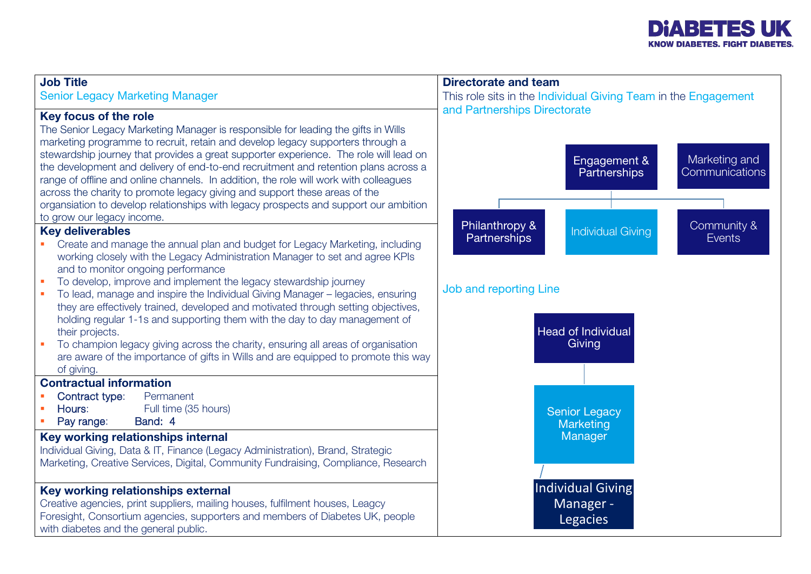

| <b>Job Title</b><br><b>Senior Legacy Marketing Manager</b>                                                                                                                                                                                                                                                                                                                                                                                                                                                                                                                                                                                                                                                                                                                                                                                                                                                                                                                                                                                                                                                                                                                                                                                                                                                                                                                                                                                            | <b>Directorate and team</b><br>This role sits in the Individual Giving Team in the Engagement                                                                                                                                                                                |  |  |  |  |  |
|-------------------------------------------------------------------------------------------------------------------------------------------------------------------------------------------------------------------------------------------------------------------------------------------------------------------------------------------------------------------------------------------------------------------------------------------------------------------------------------------------------------------------------------------------------------------------------------------------------------------------------------------------------------------------------------------------------------------------------------------------------------------------------------------------------------------------------------------------------------------------------------------------------------------------------------------------------------------------------------------------------------------------------------------------------------------------------------------------------------------------------------------------------------------------------------------------------------------------------------------------------------------------------------------------------------------------------------------------------------------------------------------------------------------------------------------------------|------------------------------------------------------------------------------------------------------------------------------------------------------------------------------------------------------------------------------------------------------------------------------|--|--|--|--|--|
| Key focus of the role<br>The Senior Legacy Marketing Manager is responsible for leading the gifts in Wills<br>marketing programme to recruit, retain and develop legacy supporters through a<br>stewardship journey that provides a great supporter experience. The role will lead on<br>the development and delivery of end-to-end recruitment and retention plans across a<br>range of offline and online channels. In addition, the role will work with colleagues<br>across the charity to promote legacy giving and support these areas of the<br>organsiation to develop relationships with legacy prospects and support our ambition<br>to grow our legacy income.<br><b>Key deliverables</b><br>Create and manage the annual plan and budget for Legacy Marketing, including<br>a.<br>working closely with the Legacy Administration Manager to set and agree KPIs<br>and to monitor ongoing performance<br>To develop, improve and implement the legacy stewardship journey<br>×<br>To lead, manage and inspire the Individual Giving Manager - legacies, ensuring<br>×<br>they are effectively trained, developed and motivated through setting objectives,<br>holding regular 1-1s and supporting them with the day to day management of<br>their projects.<br>To champion legacy giving across the charity, ensuring all areas of organisation<br>×<br>are aware of the importance of gifts in Wills and are equipped to promote this way | and Partnerships Directorate<br>Marketing and<br>Engagement &<br><b>Communications</b><br>Partnerships<br>Philanthropy &<br>Community &<br><b>Individual Giving</b><br><b>Partnerships</b><br><b>Events</b><br>Job and reporting Line<br><b>Head of Individual</b><br>Giving |  |  |  |  |  |
| of giving.<br><b>Contractual information</b><br>Contract type:<br>Permanent<br>Full time (35 hours)<br>Hours:<br>Band: 4<br>Pay range:<br>Key working relationships internal<br>Individual Giving, Data & IT, Finance (Legacy Administration), Brand, Strategic<br>Marketing, Creative Services, Digital, Community Fundraising, Compliance, Research<br>Key working relationships external<br>Creative agencies, print suppliers, mailing houses, fulfilment houses, Leagcy<br>Foresight, Consortium agencies, supporters and members of Diabetes UK, people<br>with diabetes and the general public.                                                                                                                                                                                                                                                                                                                                                                                                                                                                                                                                                                                                                                                                                                                                                                                                                                                | <b>Senior Legacy</b><br>Marketing<br>Manager<br>Individual Giving<br>Manager -<br><b>Legacies</b>                                                                                                                                                                            |  |  |  |  |  |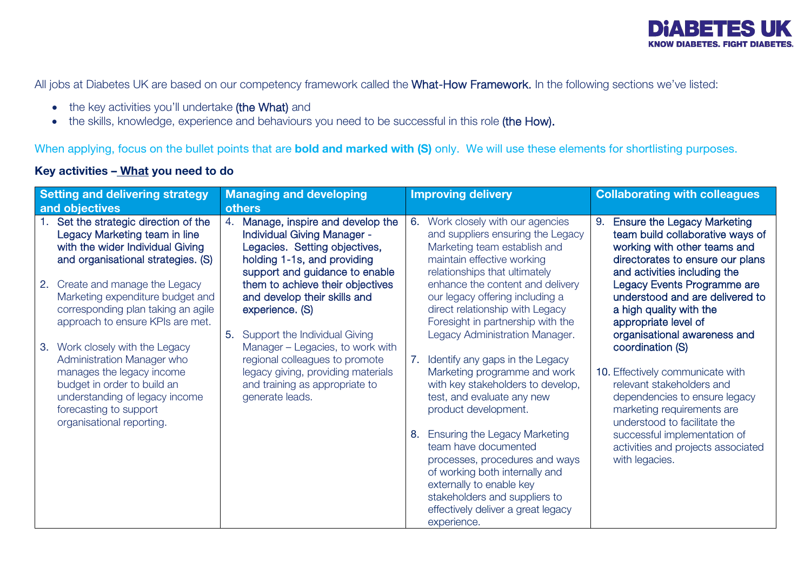

All jobs at Diabetes UK are based on our competency framework called the What-How Framework. In the following sections we've listed:

- the key activities you'll undertake (the What) and
- the skills, knowledge, experience and behaviours you need to be successful in this role (the How).

When applying, focus on the bullet points that are **bold and marked with (S)** only. We will use these elements for shortlisting purposes.

## Key activities – What you need to do

| <b>Setting and delivering strategy</b> |                                                                                                                                                                                                                    | <b>Managing and developing</b> |                                                                                                                                                                  | <b>Improving delivery</b>                                                                                                                                                                                                                          |                                                                                                                                                                               | <b>Collaborating with colleagues</b>                                                 |                                                                                                                                                                                                                                                                                                                                       |
|----------------------------------------|--------------------------------------------------------------------------------------------------------------------------------------------------------------------------------------------------------------------|--------------------------------|------------------------------------------------------------------------------------------------------------------------------------------------------------------|----------------------------------------------------------------------------------------------------------------------------------------------------------------------------------------------------------------------------------------------------|-------------------------------------------------------------------------------------------------------------------------------------------------------------------------------|--------------------------------------------------------------------------------------|---------------------------------------------------------------------------------------------------------------------------------------------------------------------------------------------------------------------------------------------------------------------------------------------------------------------------------------|
| and objectives                         |                                                                                                                                                                                                                    | <b>others</b>                  |                                                                                                                                                                  |                                                                                                                                                                                                                                                    |                                                                                                                                                                               |                                                                                      |                                                                                                                                                                                                                                                                                                                                       |
|                                        | Set the strategic direction of the<br>Legacy Marketing team in line<br>with the wider Individual Giving<br>and organisational strategies. (S)                                                                      | 4.                             | Manage, inspire and develop the<br>Individual Giving Manager -<br>Legacies. Setting objectives,<br>holding 1-1s, and providing<br>support and guidance to enable | 6.                                                                                                                                                                                                                                                 | Work closely with our agencies<br>and suppliers ensuring the Legacy<br>Marketing team establish and<br>maintain effective working<br>relationships that ultimately            | 9.                                                                                   | <b>Ensure the Legacy Marketing</b><br>team build collaborative ways of<br>working with other teams and<br>directorates to ensure our plans<br>and activities including the                                                                                                                                                            |
|                                        | 2. Create and manage the Legacy<br>Marketing expenditure budget and<br>corresponding plan taking an agile<br>approach to ensure KPIs are met.                                                                      | 5.                             | them to achieve their objectives<br>and develop their skills and<br>experience. (S)<br>Support the Individual Giving                                             |                                                                                                                                                                                                                                                    | enhance the content and delivery<br>our legacy offering including a<br>direct relationship with Legacy<br>Foresight in partnership with the<br>Legacy Administration Manager. |                                                                                      | Legacy Events Programme are<br>understood and are delivered to<br>a high quality with the<br>appropriate level of<br>organisational awareness and<br>coordination (S)<br>10. Effectively communicate with<br>relevant stakeholders and<br>dependencies to ensure legacy<br>marketing requirements are<br>understood to facilitate the |
|                                        | 3. Work closely with the Legacy<br>Administration Manager who<br>manages the legacy income<br>budget in order to build an<br>understanding of legacy income<br>forecasting to support<br>organisational reporting. |                                | Manager - Legacies, to work with<br>regional colleagues to promote<br>legacy giving, providing materials<br>and training as appropriate to<br>generate leads.    | 7.                                                                                                                                                                                                                                                 | Identify any gaps in the Legacy<br>Marketing programme and work<br>with key stakeholders to develop,<br>test, and evaluate any new<br>product development.                    |                                                                                      |                                                                                                                                                                                                                                                                                                                                       |
|                                        |                                                                                                                                                                                                                    |                                | 8.                                                                                                                                                               | <b>Ensuring the Legacy Marketing</b><br>team have documented<br>processes, procedures and ways<br>of working both internally and<br>externally to enable key<br>stakeholders and suppliers to<br>effectively deliver a great legacy<br>experience. |                                                                                                                                                                               | successful implementation of<br>activities and projects associated<br>with legacies. |                                                                                                                                                                                                                                                                                                                                       |